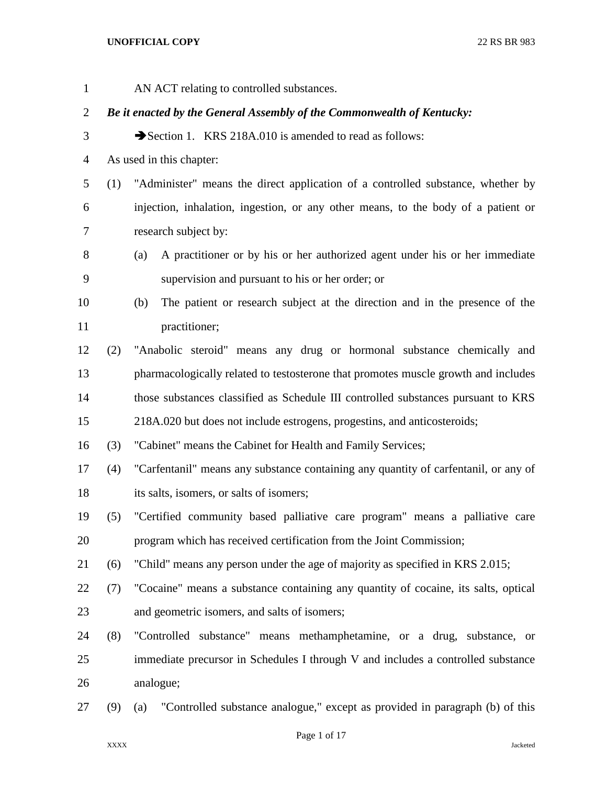| $\mathbf{1}$   |                                                                        | AN ACT relating to controlled substances.                                           |  |  |
|----------------|------------------------------------------------------------------------|-------------------------------------------------------------------------------------|--|--|
| 2              | Be it enacted by the General Assembly of the Commonwealth of Kentucky: |                                                                                     |  |  |
| 3              |                                                                        | Section 1. KRS 218A.010 is amended to read as follows:                              |  |  |
| $\overline{4}$ |                                                                        | As used in this chapter:                                                            |  |  |
| 5              | (1)                                                                    | "Administer" means the direct application of a controlled substance, whether by     |  |  |
| 6              |                                                                        | injection, inhalation, ingestion, or any other means, to the body of a patient or   |  |  |
| 7              |                                                                        | research subject by:                                                                |  |  |
| 8              |                                                                        | A practitioner or by his or her authorized agent under his or her immediate<br>(a)  |  |  |
| 9              |                                                                        | supervision and pursuant to his or her order; or                                    |  |  |
| 10             |                                                                        | The patient or research subject at the direction and in the presence of the<br>(b)  |  |  |
| 11             |                                                                        | practitioner;                                                                       |  |  |
| 12             | (2)                                                                    | "Anabolic steroid" means any drug or hormonal substance chemically and              |  |  |
| 13             |                                                                        | pharmacologically related to testosterone that promotes muscle growth and includes  |  |  |
| 14             |                                                                        | those substances classified as Schedule III controlled substances pursuant to KRS   |  |  |
| 15             |                                                                        | 218A.020 but does not include estrogens, progestins, and anticosteroids;            |  |  |
| 16             | (3)                                                                    | "Cabinet" means the Cabinet for Health and Family Services;                         |  |  |
| 17             | (4)                                                                    | "Carfentanil" means any substance containing any quantity of carfentanil, or any of |  |  |
| 18             |                                                                        | its salts, isomers, or salts of isomers;                                            |  |  |
| 19             | (5)                                                                    | "Certified community based palliative care program" means a palliative care         |  |  |
| 20             |                                                                        | program which has received certification from the Joint Commission;                 |  |  |
| 21             | (6)                                                                    | "Child" means any person under the age of majority as specified in KRS 2.015;       |  |  |
| 22             | (7)                                                                    | "Cocaine" means a substance containing any quantity of cocaine, its salts, optical  |  |  |
| 23             |                                                                        | and geometric isomers, and salts of isomers;                                        |  |  |
| 24             | (8)                                                                    | "Controlled substance" means methamphetamine, or a drug, substance, or              |  |  |
| 25             |                                                                        | immediate precursor in Schedules I through V and includes a controlled substance    |  |  |
| 26             |                                                                        | analogue;                                                                           |  |  |
| 27             | (9)                                                                    | "Controlled substance analogue," except as provided in paragraph (b) of this<br>(a) |  |  |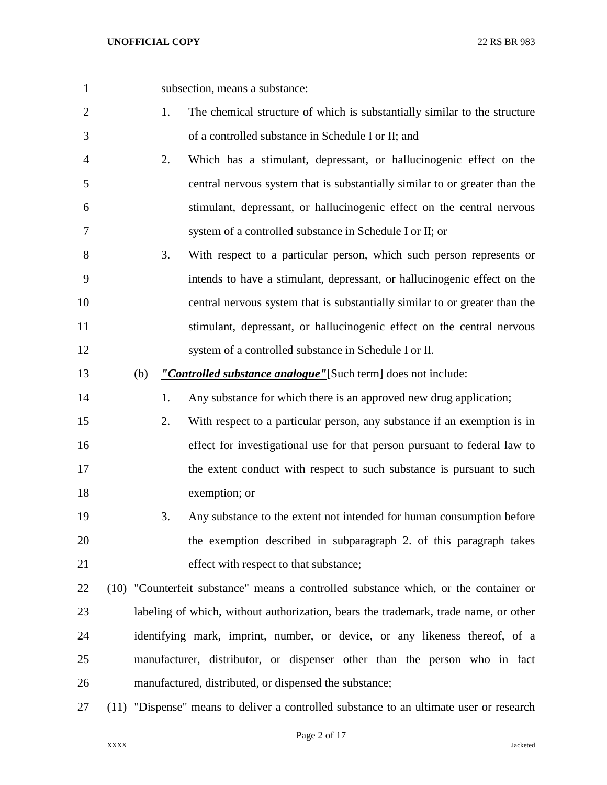subsection, means a substance: 1. The chemical structure of which is substantially similar to the structure of a controlled substance in Schedule I or II; and 2. Which has a stimulant, depressant, or hallucinogenic effect on the central nervous system that is substantially similar to or greater than the stimulant, depressant, or hallucinogenic effect on the central nervous system of a controlled substance in Schedule I or II; or 3. With respect to a particular person, which such person represents or intends to have a stimulant, depressant, or hallucinogenic effect on the central nervous system that is substantially similar to or greater than the stimulant, depressant, or hallucinogenic effect on the central nervous system of a controlled substance in Schedule I or II. (b) *"Controlled substance analogue"*[Such term] does not include: 14 1. Any substance for which there is an approved new drug application; 2. With respect to a particular person, any substance if an exemption is in effect for investigational use for that person pursuant to federal law to 17 the extent conduct with respect to such substance is pursuant to such exemption; or 3. Any substance to the extent not intended for human consumption before the exemption described in subparagraph 2. of this paragraph takes 21 effect with respect to that substance; (10) "Counterfeit substance" means a controlled substance which, or the container or labeling of which, without authorization, bears the trademark, trade name, or other identifying mark, imprint, number, or device, or any likeness thereof, of a manufacturer, distributor, or dispenser other than the person who in fact manufactured, distributed, or dispensed the substance; (11) "Dispense" means to deliver a controlled substance to an ultimate user or research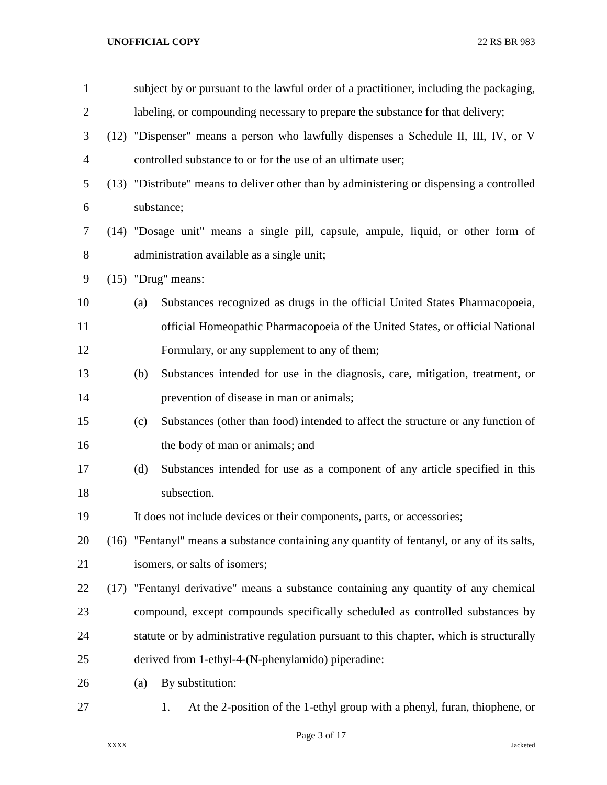| $\mathbf{1}$   |      |     | subject by or pursuant to the lawful order of a practitioner, including the packaging,      |
|----------------|------|-----|---------------------------------------------------------------------------------------------|
| $\overline{2}$ |      |     | labeling, or compounding necessary to prepare the substance for that delivery;              |
| 3              |      |     | (12) "Dispenser" means a person who lawfully dispenses a Schedule II, III, IV, or V         |
| 4              |      |     | controlled substance to or for the use of an ultimate user;                                 |
| 5              |      |     | (13) "Distribute" means to deliver other than by administering or dispensing a controlled   |
| 6              |      |     | substance;                                                                                  |
| 7              |      |     | (14) "Dosage unit" means a single pill, capsule, ampule, liquid, or other form of           |
| 8              |      |     | administration available as a single unit;                                                  |
| 9              |      |     | $(15)$ "Drug" means:                                                                        |
| 10             |      | (a) | Substances recognized as drugs in the official United States Pharmacopoeia,                 |
| 11             |      |     | official Homeopathic Pharmacopoeia of the United States, or official National               |
| 12             |      |     | Formulary, or any supplement to any of them;                                                |
| 13             |      | (b) | Substances intended for use in the diagnosis, care, mitigation, treatment, or               |
| 14             |      |     | prevention of disease in man or animals;                                                    |
| 15             |      | (c) | Substances (other than food) intended to affect the structure or any function of            |
| 16             |      |     | the body of man or animals; and                                                             |
| 17             |      | (d) | Substances intended for use as a component of any article specified in this                 |
| 18             |      |     | subsection.                                                                                 |
| 19             |      |     | It does not include devices or their components, parts, or accessories;                     |
| 20             |      |     | (16) "Fentanyl" means a substance containing any quantity of fentanyl, or any of its salts, |
| 21             |      |     | isomers, or salts of isomers;                                                               |
| 22             | (17) |     | "Fentanyl derivative" means a substance containing any quantity of any chemical             |
| 23             |      |     | compound, except compounds specifically scheduled as controlled substances by               |
| 24             |      |     | statute or by administrative regulation pursuant to this chapter, which is structurally     |
| 25             |      |     | derived from 1-ethyl-4-(N-phenylamido) piperadine:                                          |
| 26             |      | (a) | By substitution:                                                                            |
| 27             |      |     | At the 2-position of the 1-ethyl group with a phenyl, furan, thiophene, or<br>1.            |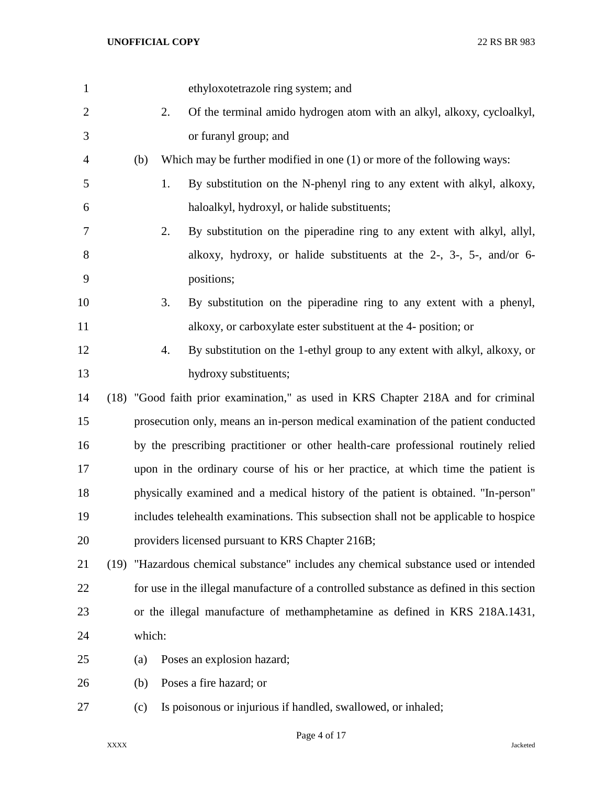| $\mathbf{1}$   |      |        |    | ethyloxotetrazole ring system; and                                                      |
|----------------|------|--------|----|-----------------------------------------------------------------------------------------|
| $\overline{2}$ |      |        | 2. | Of the terminal amido hydrogen atom with an alkyl, alkoxy, cycloalkyl,                  |
| 3              |      |        |    | or furanyl group; and                                                                   |
| 4              |      | (b)    |    | Which may be further modified in one $(1)$ or more of the following ways:               |
| 5              |      |        | 1. | By substitution on the N-phenyl ring to any extent with alkyl, alkoxy,                  |
| 6              |      |        |    | haloalkyl, hydroxyl, or halide substituents;                                            |
| 7              |      |        | 2. | By substitution on the piperadine ring to any extent with alkyl, allyl,                 |
| 8              |      |        |    | alkoxy, hydroxy, or halide substituents at the 2-, 3-, 5-, and/or 6-                    |
| 9              |      |        |    | positions;                                                                              |
| 10             |      |        | 3. | By substitution on the piperadine ring to any extent with a phenyl,                     |
| 11             |      |        |    | alkoxy, or carboxylate ester substituent at the 4- position; or                         |
| 12             |      |        | 4. | By substitution on the 1-ethyl group to any extent with alkyl, alkoxy, or               |
| 13             |      |        |    | hydroxy substituents;                                                                   |
| 14             |      |        |    | (18) "Good faith prior examination," as used in KRS Chapter 218A and for criminal       |
| 15             |      |        |    | prosecution only, means an in-person medical examination of the patient conducted       |
| 16             |      |        |    | by the prescribing practitioner or other health-care professional routinely relied      |
| 17             |      |        |    | upon in the ordinary course of his or her practice, at which time the patient is        |
| 18             |      |        |    | physically examined and a medical history of the patient is obtained. "In-person"       |
| 19             |      |        |    | includes telehealth examinations. This subsection shall not be applicable to hospice    |
| 20             |      |        |    | providers licensed pursuant to KRS Chapter 216B;                                        |
| 21             | (19) |        |    | "Hazardous chemical substance" includes any chemical substance used or intended         |
| 22             |      |        |    | for use in the illegal manufacture of a controlled substance as defined in this section |
| 23             |      |        |    | or the illegal manufacture of methamphetamine as defined in KRS 218A.1431,              |
| 24             |      | which: |    |                                                                                         |
| 25             |      | (a)    |    | Poses an explosion hazard;                                                              |
| 26             |      | (b)    |    | Poses a fire hazard; or                                                                 |
| 27             |      | (c)    |    | Is poisonous or injurious if handled, swallowed, or inhaled;                            |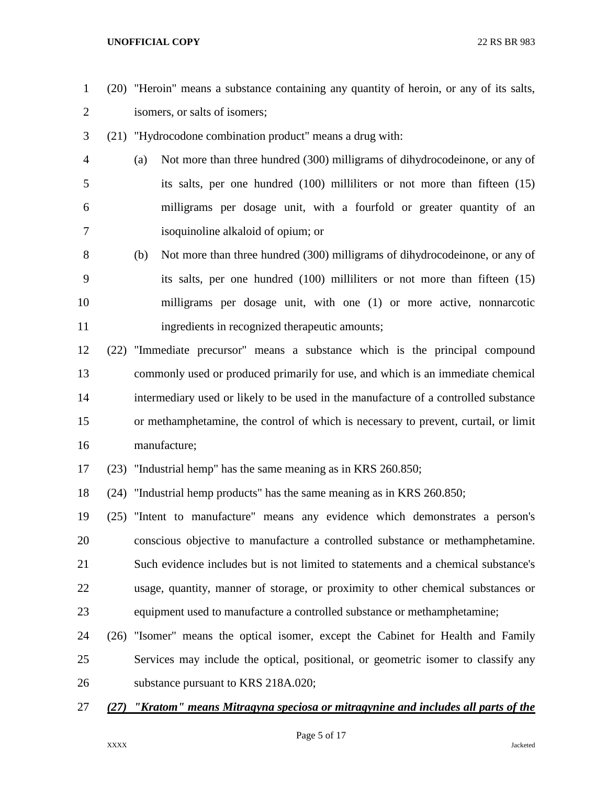- (20) "Heroin" means a substance containing any quantity of heroin, or any of its salts, isomers, or salts of isomers;
- (21) "Hydrocodone combination product" means a drug with:
- (a) Not more than three hundred (300) milligrams of dihydrocodeinone, or any of its salts, per one hundred (100) milliliters or not more than fifteen (15) milligrams per dosage unit, with a fourfold or greater quantity of an isoquinoline alkaloid of opium; or
- (b) Not more than three hundred (300) milligrams of dihydrocodeinone, or any of its salts, per one hundred (100) milliliters or not more than fifteen (15) milligrams per dosage unit, with one (1) or more active, nonnarcotic 11 ingredients in recognized therapeutic amounts;
- (22) "Immediate precursor" means a substance which is the principal compound commonly used or produced primarily for use, and which is an immediate chemical intermediary used or likely to be used in the manufacture of a controlled substance or methamphetamine, the control of which is necessary to prevent, curtail, or limit manufacture;
- (23) "Industrial hemp" has the same meaning as in KRS 260.850;

(24) "Industrial hemp products" has the same meaning as in KRS 260.850;

- (25) "Intent to manufacture" means any evidence which demonstrates a person's conscious objective to manufacture a controlled substance or methamphetamine. Such evidence includes but is not limited to statements and a chemical substance's usage, quantity, manner of storage, or proximity to other chemical substances or equipment used to manufacture a controlled substance or methamphetamine;
- (26) "Isomer" means the optical isomer, except the Cabinet for Health and Family Services may include the optical, positional, or geometric isomer to classify any substance pursuant to KRS 218A.020;
- *(27) "Kratom" means Mitragyna speciosa or mitragynine and includes all parts of the*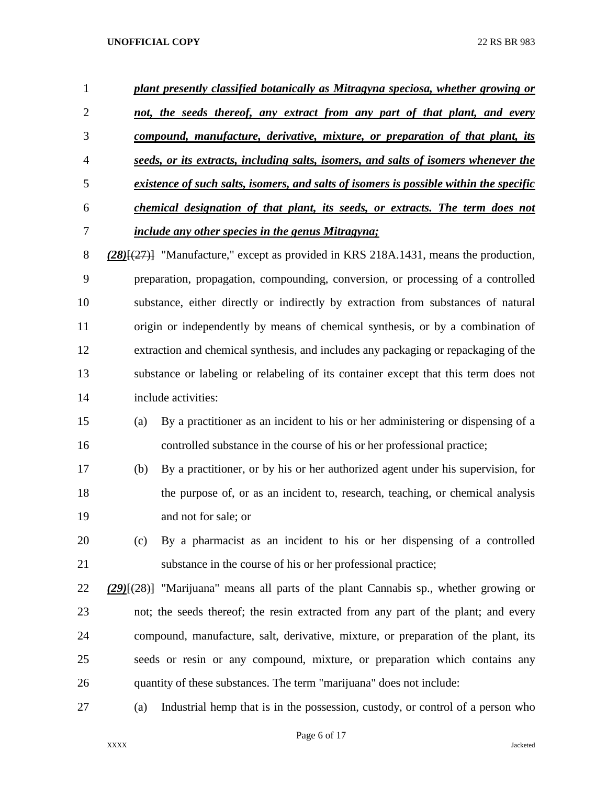| 1              | plant presently classified botanically as Mitragyna speciosa, whether growing or       |
|----------------|----------------------------------------------------------------------------------------|
| 2              | not, the seeds thereof, any extract from any part of that plant, and every             |
| 3              | compound, manufacture, derivative, mixture, or preparation of that plant, its          |
| $\overline{4}$ | seeds, or its extracts, including salts, isomers, and salts of isomers whenever the    |
| .5             | existence of such salts, isomers, and salts of isomers is possible within the specific |
| 6              | chemical designation of that plant, its seeds, or extracts. The term does not          |
| 7              | <i>include any other species in the genus Mitragyna;</i>                               |

 *(28)*[(27)] "Manufacture," except as provided in KRS 218A.1431, means the production, preparation, propagation, compounding, conversion, or processing of a controlled substance, either directly or indirectly by extraction from substances of natural origin or independently by means of chemical synthesis, or by a combination of extraction and chemical synthesis, and includes any packaging or repackaging of the substance or labeling or relabeling of its container except that this term does not include activities:

- (a) By a practitioner as an incident to his or her administering or dispensing of a controlled substance in the course of his or her professional practice;
- (b) By a practitioner, or by his or her authorized agent under his supervision, for the purpose of, or as an incident to, research, teaching, or chemical analysis and not for sale; or
- (c) By a pharmacist as an incident to his or her dispensing of a controlled substance in the course of his or her professional practice;
- *(29)*[(28)] "Marijuana" means all parts of the plant Cannabis sp., whether growing or not; the seeds thereof; the resin extracted from any part of the plant; and every compound, manufacture, salt, derivative, mixture, or preparation of the plant, its seeds or resin or any compound, mixture, or preparation which contains any quantity of these substances. The term "marijuana" does not include:
- (a) Industrial hemp that is in the possession, custody, or control of a person who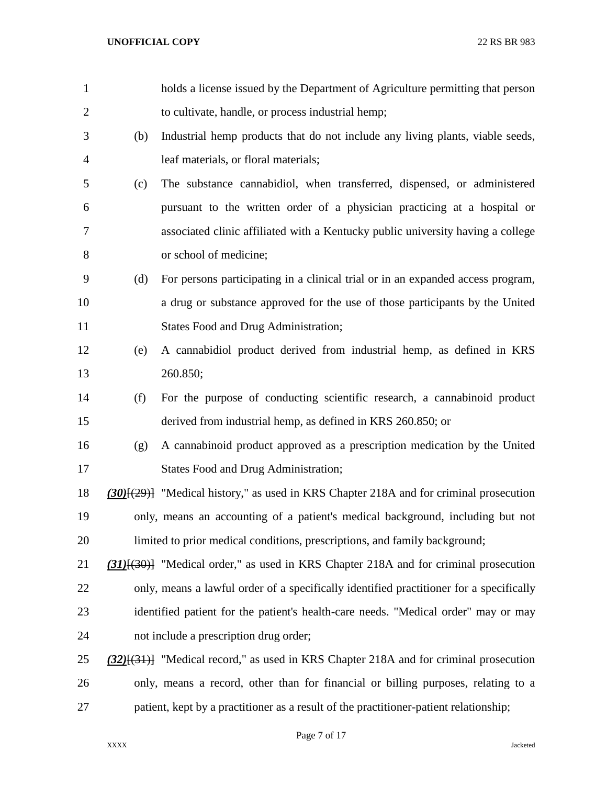| $\mathbf{1}$   |     | holds a license issued by the Department of Agriculture permitting that person               |
|----------------|-----|----------------------------------------------------------------------------------------------|
| $\overline{c}$ |     | to cultivate, handle, or process industrial hemp;                                            |
| 3              | (b) | Industrial hemp products that do not include any living plants, viable seeds,                |
| 4              |     | leaf materials, or floral materials;                                                         |
| 5              | (c) | The substance cannabidiol, when transferred, dispensed, or administered                      |
| 6              |     | pursuant to the written order of a physician practicing at a hospital or                     |
| 7              |     | associated clinic affiliated with a Kentucky public university having a college              |
| 8              |     | or school of medicine;                                                                       |
| 9              | (d) | For persons participating in a clinical trial or in an expanded access program,              |
| 10             |     | a drug or substance approved for the use of those participants by the United                 |
| 11             |     | <b>States Food and Drug Administration;</b>                                                  |
| 12             | (e) | A cannabidiol product derived from industrial hemp, as defined in KRS                        |
| 13             |     | 260.850;                                                                                     |
| 14             | (f) | For the purpose of conducting scientific research, a cannabinoid product                     |
| 15             |     | derived from industrial hemp, as defined in KRS 260.850; or                                  |
| 16             | (g) | A cannabinoid product approved as a prescription medication by the United                    |
| 17             |     | <b>States Food and Drug Administration;</b>                                                  |
| 18             |     | $(30)(29)$ "Medical history," as used in KRS Chapter 218A and for criminal prosecution       |
| 19             |     | only, means an accounting of a patient's medical background, including but not               |
| 20             |     | limited to prior medical conditions, prescriptions, and family background;                   |
| 21             |     | $(31)$ [ $(30)$ ] "Medical order," as used in KRS Chapter 218A and for criminal prosecution  |
| 22             |     | only, means a lawful order of a specifically identified practitioner for a specifically      |
| 23             |     | identified patient for the patient's health-care needs. "Medical order" may or may           |
| 24             |     | not include a prescription drug order;                                                       |
| 25             |     | $(32)$ [ $(31)$ ] "Medical record," as used in KRS Chapter 218A and for criminal prosecution |
| 26             |     | only, means a record, other than for financial or billing purposes, relating to a            |
| 27             |     | patient, kept by a practitioner as a result of the practitioner-patient relationship;        |

Page 7 of 17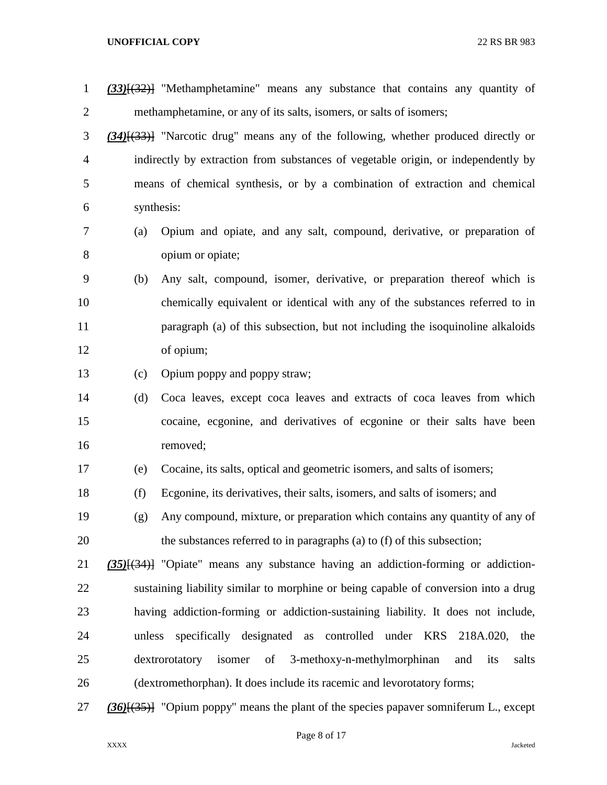| $\mathbf{1}$   |        | $(33)$ [ $(32)$ ] "Methamphetamine" means any substance that contains any quantity of        |
|----------------|--------|----------------------------------------------------------------------------------------------|
| $\overline{2}$ |        | methamphetamine, or any of its salts, isomers, or salts of isomers;                          |
| 3              |        | $(34)$ [ $(33)$ ] "Narcotic drug" means any of the following, whether produced directly or   |
| $\overline{4}$ |        | indirectly by extraction from substances of vegetable origin, or independently by            |
| 5              |        | means of chemical synthesis, or by a combination of extraction and chemical                  |
| 6              |        | synthesis:                                                                                   |
| 7              | (a)    | Opium and opiate, and any salt, compound, derivative, or preparation of                      |
| 8              |        | opium or opiate;                                                                             |
| 9              | (b)    | Any salt, compound, isomer, derivative, or preparation thereof which is                      |
| 10             |        | chemically equivalent or identical with any of the substances referred to in                 |
| 11             |        | paragraph (a) of this subsection, but not including the isoquinoline alkaloids               |
| 12             |        | of opium;                                                                                    |
| 13             | (c)    | Opium poppy and poppy straw;                                                                 |
| 14             | (d)    | Coca leaves, except coca leaves and extracts of coca leaves from which                       |
| 15             |        | cocaine, ecgonine, and derivatives of ecgonine or their salts have been                      |
| 16             |        | removed;                                                                                     |
| 17             | (e)    | Cocaine, its salts, optical and geometric isomers, and salts of isomers;                     |
| 18             | (f)    | Ecgonine, its derivatives, their salts, isomers, and salts of isomers; and                   |
| 19             | (g)    | Any compound, mixture, or preparation which contains any quantity of any of                  |
| 20             |        | the substances referred to in paragraphs (a) to (f) of this subsection;                      |
| 21             |        | (35)[(34)] "Opiate" means any substance having an addiction-forming or addiction-            |
| 22             |        | sustaining liability similar to morphine or being capable of conversion into a drug          |
| 23             |        | having addiction-forming or addiction-sustaining liability. It does not include,             |
| 24             | unless | specifically designated as controlled under KRS<br>218A.020, the                             |
| 25             |        | 3-methoxy-n-methylmorphinan<br>dextrorotatory<br>isomer<br>of<br>salts<br>and<br>its         |
| 26             |        | (dextromethorphan). It does include its racemic and levorotatory forms;                      |
| 27             |        | $(36)$ [ $(35)$ ] "Opium poppy" means the plant of the species papaver somniferum L., except |

Page 8 of 17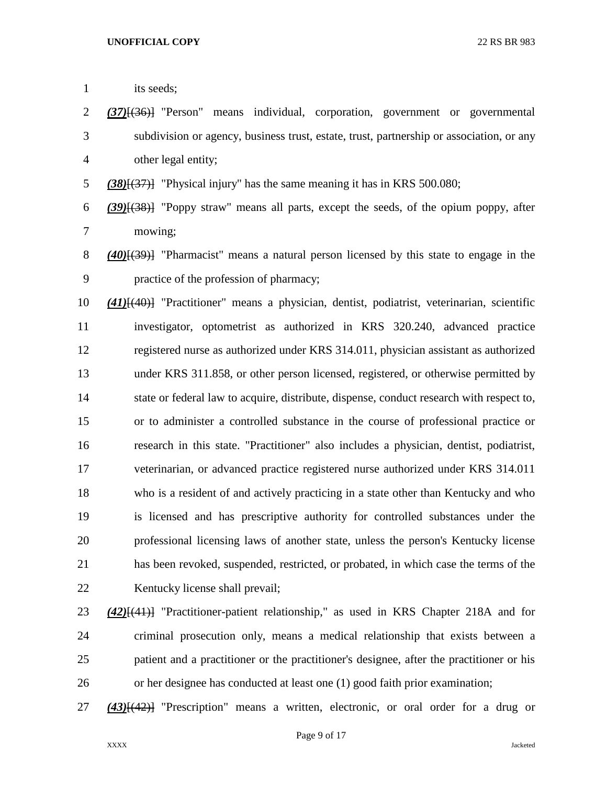| $\mathbf{1}$ | its seeds;                                                                                        |
|--------------|---------------------------------------------------------------------------------------------------|
| 2            | $(37)$ [ $(36)$ ] "Person" means individual, corporation, government or governmental              |
| 3            | subdivision or agency, business trust, estate, trust, partnership or association, or any          |
| 4            | other legal entity;                                                                               |
| 5            | $(38)(37)$ ] "Physical injury" has the same meaning it has in KRS 500.080;                        |
| 6            | $(39)(38)$ "Poppy straw" means all parts, except the seeds, of the opium poppy, after             |
| 7            | mowing;                                                                                           |
| 8            | $(40)$ [ $(39)$ ] "Pharmacist" means a natural person licensed by this state to engage in the     |
| 9            | practice of the profession of pharmacy;                                                           |
| 10           | $(41)$ [ $(40)$ ] "Practitioner" means a physician, dentist, podiatrist, veterinarian, scientific |
| 11           | investigator, optometrist as authorized in KRS 320.240, advanced practice                         |
| 12           | registered nurse as authorized under KRS 314.011, physician assistant as authorized               |
| 13           | under KRS 311.858, or other person licensed, registered, or otherwise permitted by                |
| 14           | state or federal law to acquire, distribute, dispense, conduct research with respect to,          |
| 15           | or to administer a controlled substance in the course of professional practice or                 |
| 16           | research in this state. "Practitioner" also includes a physician, dentist, podiatrist,            |
| 17           | veterinarian, or advanced practice registered nurse authorized under KRS 314.011                  |
| 18           | who is a resident of and actively practicing in a state other than Kentucky and who               |
| 19           | is licensed and has prescriptive authority for controlled substances under the                    |
| 20           | professional licensing laws of another state, unless the person's Kentucky license                |
| 21           | has been revoked, suspended, restricted, or probated, in which case the terms of the              |
| 22           | Kentucky license shall prevail;                                                                   |
| 23           | $(42)$ [(41)] "Practitioner-patient relationship," as used in KRS Chapter 218A and for            |
| 24           | criminal prosecution only, means a medical relationship that exists between a                     |

- patient and a practitioner or the practitioner's designee, after the practitioner or his or her designee has conducted at least one (1) good faith prior examination;
- *(43)*[(42)] "Prescription" means a written, electronic, or oral order for a drug or

Page 9 of 17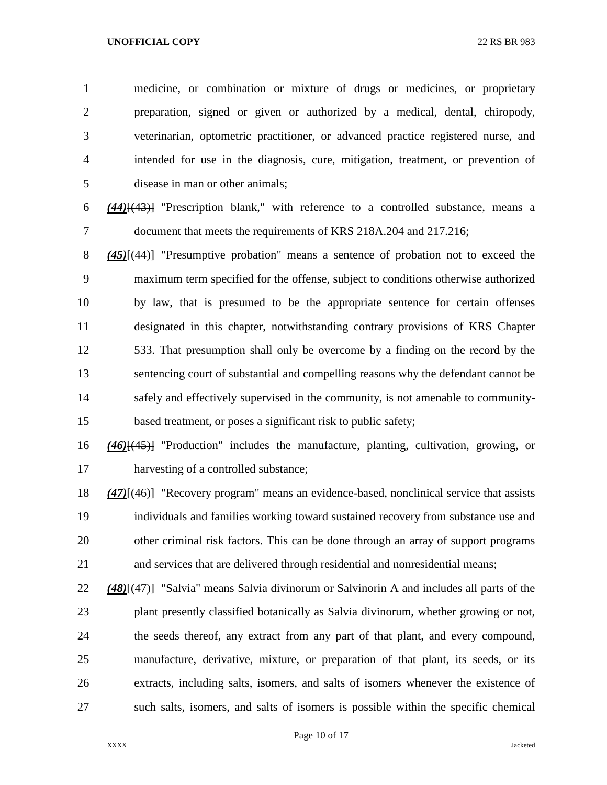medicine, or combination or mixture of drugs or medicines, or proprietary preparation, signed or given or authorized by a medical, dental, chiropody, veterinarian, optometric practitioner, or advanced practice registered nurse, and intended for use in the diagnosis, cure, mitigation, treatment, or prevention of disease in man or other animals;

 *(44)*[(43)] "Prescription blank," with reference to a controlled substance, means a document that meets the requirements of KRS 218A.204 and 217.216;

 *(45)*[(44)] "Presumptive probation" means a sentence of probation not to exceed the maximum term specified for the offense, subject to conditions otherwise authorized by law, that is presumed to be the appropriate sentence for certain offenses designated in this chapter, notwithstanding contrary provisions of KRS Chapter 533. That presumption shall only be overcome by a finding on the record by the sentencing court of substantial and compelling reasons why the defendant cannot be safely and effectively supervised in the community, is not amenable to community-based treatment, or poses a significant risk to public safety;

 *(46)*[(45)] "Production" includes the manufacture, planting, cultivation, growing, or harvesting of a controlled substance;

 *(47)*[(46)] "Recovery program" means an evidence-based, nonclinical service that assists individuals and families working toward sustained recovery from substance use and other criminal risk factors. This can be done through an array of support programs and services that are delivered through residential and nonresidential means;

 *(48)*[(47)] "Salvia" means Salvia divinorum or Salvinorin A and includes all parts of the plant presently classified botanically as Salvia divinorum, whether growing or not, the seeds thereof, any extract from any part of that plant, and every compound, manufacture, derivative, mixture, or preparation of that plant, its seeds, or its extracts, including salts, isomers, and salts of isomers whenever the existence of such salts, isomers, and salts of isomers is possible within the specific chemical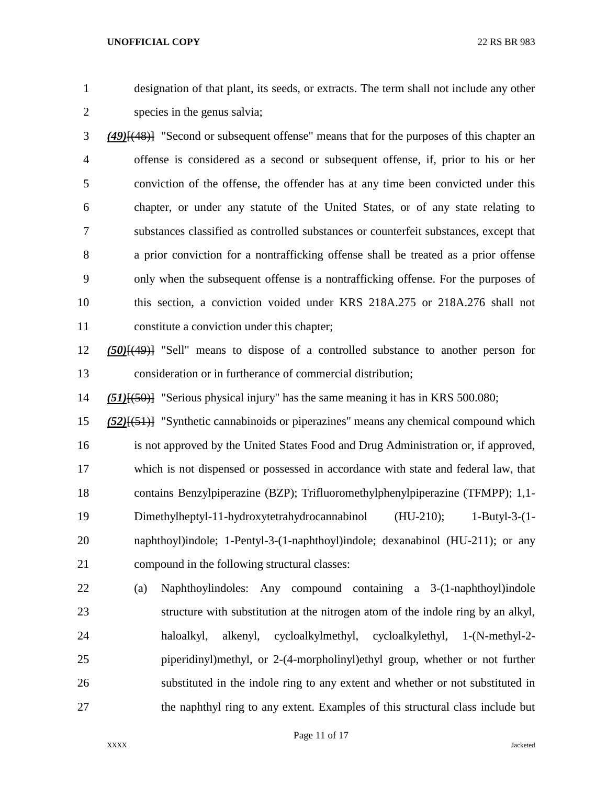designation of that plant, its seeds, or extracts. The term shall not include any other species in the genus salvia;

- *(49)*[(48)] "Second or subsequent offense" means that for the purposes of this chapter an offense is considered as a second or subsequent offense, if, prior to his or her conviction of the offense, the offender has at any time been convicted under this chapter, or under any statute of the United States, or of any state relating to substances classified as controlled substances or counterfeit substances, except that a prior conviction for a nontrafficking offense shall be treated as a prior offense only when the subsequent offense is a nontrafficking offense. For the purposes of this section, a conviction voided under KRS 218A.275 or 218A.276 shall not constitute a conviction under this chapter;
- *(50)*[(49)] "Sell" means to dispose of a controlled substance to another person for consideration or in furtherance of commercial distribution;

*(51)*[(50)] "Serious physical injury" has the same meaning it has in KRS 500.080;

- *(52)*[(51)] "Synthetic cannabinoids or piperazines" means any chemical compound which is not approved by the United States Food and Drug Administration or, if approved, which is not dispensed or possessed in accordance with state and federal law, that contains Benzylpiperazine (BZP); Trifluoromethylphenylpiperazine (TFMPP); 1,1- Dimethylheptyl-11-hydroxytetrahydrocannabinol (HU-210); 1-Butyl-3-(1- naphthoyl)indole; 1-Pentyl-3-(1-naphthoyl)indole; dexanabinol (HU-211); or any compound in the following structural classes:
- (a) Naphthoylindoles: Any compound containing a 3-(1-naphthoyl)indole structure with substitution at the nitrogen atom of the indole ring by an alkyl, haloalkyl, alkenyl, cycloalkylmethyl, cycloalkylethyl, 1-(N-methyl-2- piperidinyl)methyl, or 2-(4-morpholinyl)ethyl group, whether or not further substituted in the indole ring to any extent and whether or not substituted in the naphthyl ring to any extent. Examples of this structural class include but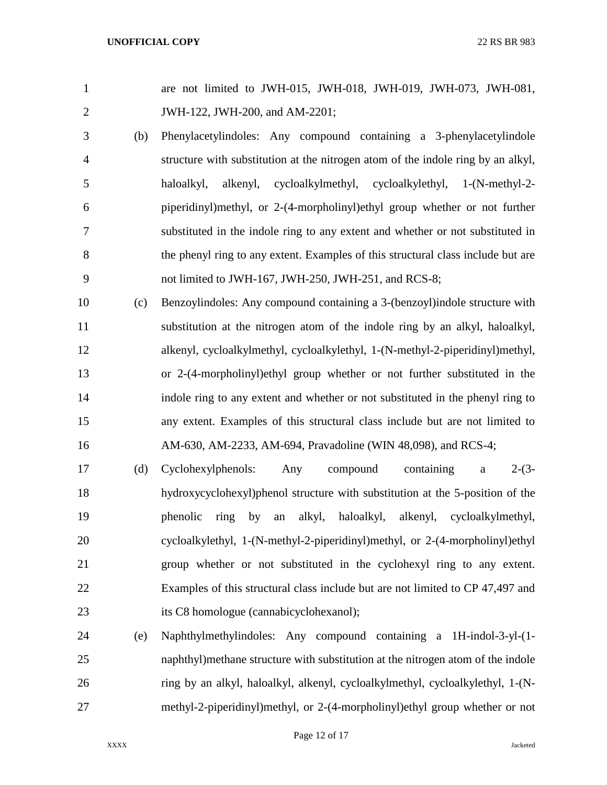| $\mathbf{1}$   |     | are not limited to JWH-015, JWH-018, JWH-019, JWH-073, JWH-081,                  |
|----------------|-----|----------------------------------------------------------------------------------|
| $\mathbf{2}$   |     | JWH-122, JWH-200, and AM-2201;                                                   |
| 3              | (b) | Phenylacetylindoles: Any compound containing a 3-phenylacetylindole              |
| $\overline{4}$ |     | structure with substitution at the nitrogen atom of the indole ring by an alkyl, |
| 5              |     | cycloalkylmethyl, cycloalkylethyl, 1-(N-methyl-2-<br>haloalkyl,<br>alkenyl,      |
| 6              |     | piperidinyl)methyl, or 2-(4-morpholinyl)ethyl group whether or not further       |
| 7              |     | substituted in the indole ring to any extent and whether or not substituted in   |
| 8              |     | the phenyl ring to any extent. Examples of this structural class include but are |
| 9              |     | not limited to JWH-167, JWH-250, JWH-251, and RCS-8;                             |
| 10             | (c) | Benzoylindoles: Any compound containing a 3-(benzoyl)indole structure with       |
| 11             |     | substitution at the nitrogen atom of the indole ring by an alkyl, haloalkyl,     |
| 12             |     | alkenyl, cycloalkylmethyl, cycloalkylethyl, 1-(N-methyl-2-piperidinyl)methyl,    |
| 13             |     | or 2-(4-morpholinyl)ethyl group whether or not further substituted in the        |
| 14             |     | indole ring to any extent and whether or not substituted in the phenyl ring to   |
| 15             |     | any extent. Examples of this structural class include but are not limited to     |
| 16             |     | AM-630, AM-2233, AM-694, Pravadoline (WIN 48,098), and RCS-4;                    |
| 17             | (d) | $2-(3-$<br>containing<br>Cyclohexylphenols:<br>compound<br>Any<br>$\mathbf a$    |
| 18             |     | hydroxycyclohexyl)phenol structure with substitution at the 5-position of the    |
| 19             |     | alkyl, haloalkyl,<br>alkenyl, cycloalkylmethyl,<br>phenolic<br>ring<br>by<br>an  |
| 20             |     | cycloalkylethyl, 1-(N-methyl-2-piperidinyl)methyl, or 2-(4-morpholinyl)ethyl     |
| 21             |     | group whether or not substituted in the cyclohexyl ring to any extent.           |
| 22             |     | Examples of this structural class include but are not limited to CP 47,497 and   |
| 23             |     | its C8 homologue (cannabicyclohexanol);                                          |
| 24             | (e) | Naphthylmethylindoles: Any compound containing a 1H-indol-3-yl-(1-               |

 naphthyl)methane structure with substitution at the nitrogen atom of the indole ring by an alkyl, haloalkyl, alkenyl, cycloalkylmethyl, cycloalkylethyl, 1-(N-methyl-2-piperidinyl)methyl, or 2-(4-morpholinyl)ethyl group whether or not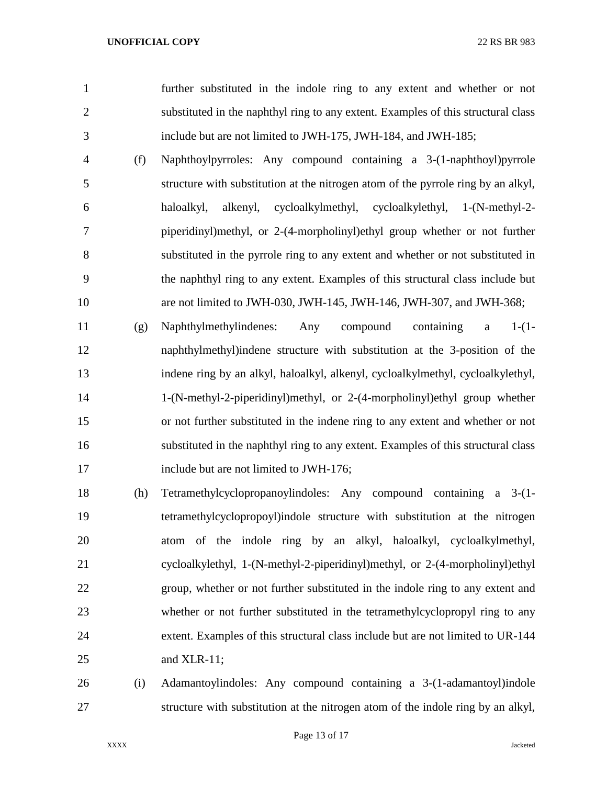further substituted in the indole ring to any extent and whether or not substituted in the naphthyl ring to any extent. Examples of this structural class include but are not limited to JWH-175, JWH-184, and JWH-185;

- (f) Naphthoylpyrroles: Any compound containing a 3-(1-naphthoyl)pyrrole structure with substitution at the nitrogen atom of the pyrrole ring by an alkyl, haloalkyl, alkenyl, cycloalkylmethyl, cycloalkylethyl, 1-(N-methyl-2- piperidinyl)methyl, or 2-(4-morpholinyl)ethyl group whether or not further substituted in the pyrrole ring to any extent and whether or not substituted in the naphthyl ring to any extent. Examples of this structural class include but are not limited to JWH-030, JWH-145, JWH-146, JWH-307, and JWH-368;
- (g) Naphthylmethylindenes: Any compound containing a 1-(1- naphthylmethyl)indene structure with substitution at the 3-position of the indene ring by an alkyl, haloalkyl, alkenyl, cycloalkylmethyl, cycloalkylethyl, 1-(N-methyl-2-piperidinyl)methyl, or 2-(4-morpholinyl)ethyl group whether or not further substituted in the indene ring to any extent and whether or not substituted in the naphthyl ring to any extent. Examples of this structural class 17 include but are not limited to JWH-176;
- (h) Tetramethylcyclopropanoylindoles: Any compound containing a 3-(1- tetramethylcyclopropoyl)indole structure with substitution at the nitrogen atom of the indole ring by an alkyl, haloalkyl, cycloalkylmethyl, cycloalkylethyl, 1-(N-methyl-2-piperidinyl)methyl, or 2-(4-morpholinyl)ethyl group, whether or not further substituted in the indole ring to any extent and whether or not further substituted in the tetramethylcyclopropyl ring to any extent. Examples of this structural class include but are not limited to UR-144 and XLR-11;
- (i) Adamantoylindoles: Any compound containing a 3-(1-adamantoyl)indole structure with substitution at the nitrogen atom of the indole ring by an alkyl,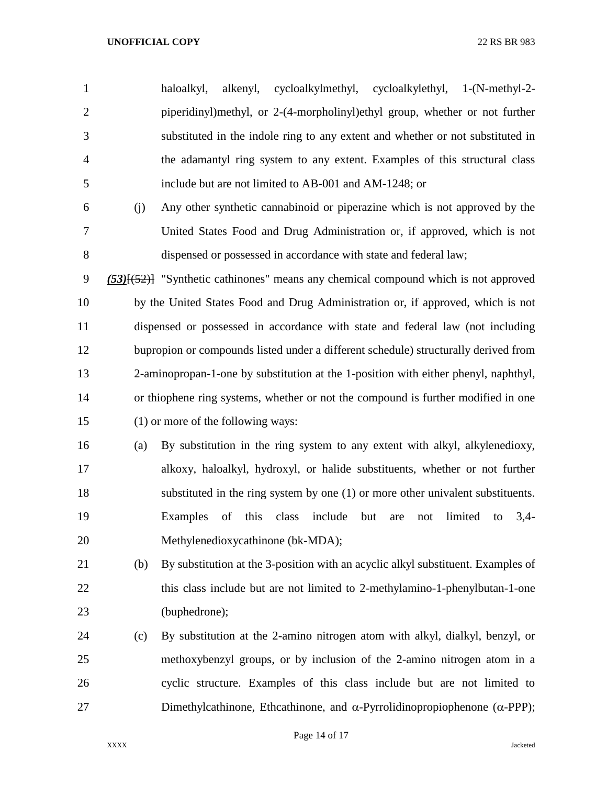haloalkyl, alkenyl, cycloalkylmethyl, cycloalkylethyl, 1-(N-methyl-2- piperidinyl)methyl, or 2-(4-morpholinyl)ethyl group, whether or not further substituted in the indole ring to any extent and whether or not substituted in the adamantyl ring system to any extent. Examples of this structural class include but are not limited to AB-001 and AM-1248; or

 (j) Any other synthetic cannabinoid or piperazine which is not approved by the United States Food and Drug Administration or, if approved, which is not dispensed or possessed in accordance with state and federal law;

 *(53)*[(52)] "Synthetic cathinones" means any chemical compound which is not approved by the United States Food and Drug Administration or, if approved, which is not dispensed or possessed in accordance with state and federal law (not including bupropion or compounds listed under a different schedule) structurally derived from 2-aminopropan-1-one by substitution at the 1-position with either phenyl, naphthyl, or thiophene ring systems, whether or not the compound is further modified in one (1) or more of the following ways:

 (a) By substitution in the ring system to any extent with alkyl, alkylenedioxy, alkoxy, haloalkyl, hydroxyl, or halide substituents, whether or not further substituted in the ring system by one (1) or more other univalent substituents. Examples of this class include but are not limited to 3,4- Methylenedioxycathinone (bk-MDA);

- (b) By substitution at the 3-position with an acyclic alkyl substituent. Examples of 22 this class include but are not limited to 2-methylamino-1-phenylbutan-1-one (buphedrone);
- (c) By substitution at the 2-amino nitrogen atom with alkyl, dialkyl, benzyl, or methoxybenzyl groups, or by inclusion of the 2-amino nitrogen atom in a cyclic structure. Examples of this class include but are not limited to 27 Dimethylcathinone, Ethcathinone, and  $\alpha$ -Pyrrolidinopropiophenone ( $\alpha$ -PPP);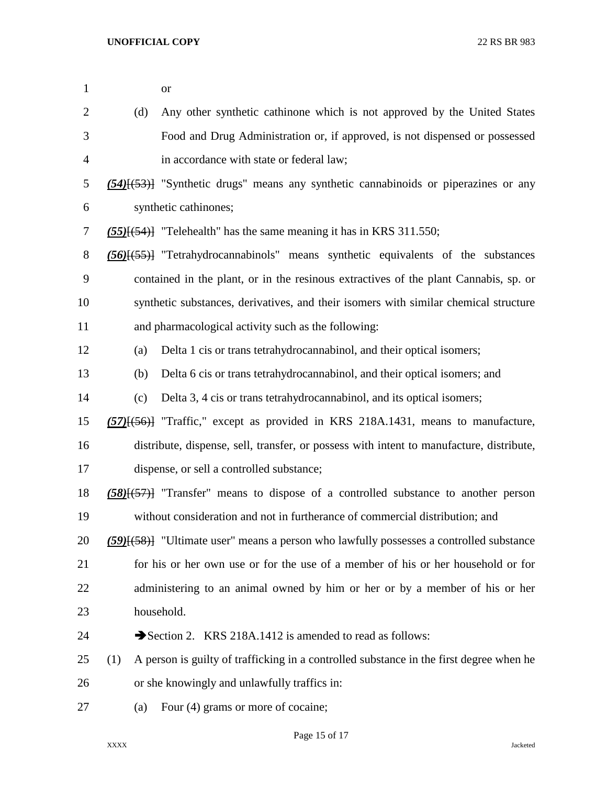| $\mathbf{1}$   |     | <b>or</b>                                                                                                  |
|----------------|-----|------------------------------------------------------------------------------------------------------------|
| $\overline{2}$ | (d) | Any other synthetic cathinone which is not approved by the United States                                   |
| 3              |     | Food and Drug Administration or, if approved, is not dispensed or possessed                                |
| $\overline{4}$ |     | in accordance with state or federal law;                                                                   |
| 5              |     | $(54)$ [ $(53)$ ] "Synthetic drugs" means any synthetic cannabinoids or piperazines or any                 |
| 6              |     | synthetic cathinones;                                                                                      |
| $\tau$         |     | $(55)$ [ $(54)$ ] "Telehealth" has the same meaning it has in KRS 311.550;                                 |
| $8\,$          |     | $(56)$ $\left(\frac{55}{100}\right)$ "Tetrahydrocannabinols" means synthetic equivalents of the substances |
| 9              |     | contained in the plant, or in the resinous extractives of the plant Cannabis, sp. or                       |
| 10             |     | synthetic substances, derivatives, and their isomers with similar chemical structure                       |
| 11             |     | and pharmacological activity such as the following:                                                        |
| 12             | (a) | Delta 1 cis or trans tetrahydrocannabinol, and their optical isomers;                                      |
| 13             | (b) | Delta 6 cis or trans tetrahydrocannabinol, and their optical isomers; and                                  |
| 14             | (c) | Delta 3, 4 cis or trans tetrahydrocannabinol, and its optical isomers;                                     |
| 15             |     | $(57)$ [ $(56)$ ] "Traffic," except as provided in KRS 218A.1431, means to manufacture,                    |
| 16             |     | distribute, dispense, sell, transfer, or possess with intent to manufacture, distribute,                   |
| 17             |     | dispense, or sell a controlled substance;                                                                  |
| 18             |     | $(58)(57)$ "Transfer" means to dispose of a controlled substance to another person                         |
| 19             |     | without consideration and not in furtherance of commercial distribution; and                               |
| 20             |     | $(59)$ [ $(58)$ ] "Ultimate user" means a person who lawfully possesses a controlled substance             |
| 21             |     | for his or her own use or for the use of a member of his or her household or for                           |
| 22             |     | administering to an animal owned by him or her or by a member of his or her                                |
| 23             |     | household.                                                                                                 |
| 24             |     | Section 2. KRS 218A.1412 is amended to read as follows:                                                    |
| 25             | (1) | A person is guilty of trafficking in a controlled substance in the first degree when he                    |
| 26             |     | or she knowingly and unlawfully traffics in:                                                               |
| 27             | (a) | Four (4) grams or more of cocaine;                                                                         |

Page 15 of 17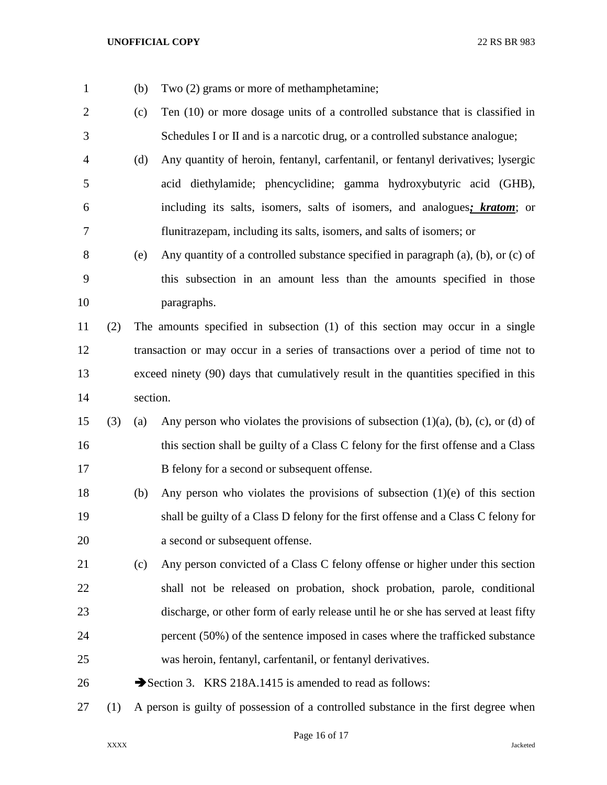(b) Two (2) grams or more of methamphetamine;

 (c) Ten (10) or more dosage units of a controlled substance that is classified in Schedules I or II and is a narcotic drug, or a controlled substance analogue; (d) Any quantity of heroin, fentanyl, carfentanil, or fentanyl derivatives; lysergic acid diethylamide; phencyclidine; gamma hydroxybutyric acid (GHB), including its salts, isomers, salts of isomers, and analogues*; kratom*; or flunitrazepam, including its salts, isomers, and salts of isomers; or (e) Any quantity of a controlled substance specified in paragraph (a), (b), or (c) of this subsection in an amount less than the amounts specified in those paragraphs. (2) The amounts specified in subsection (1) of this section may occur in a single transaction or may occur in a series of transactions over a period of time not to exceed ninety (90) days that cumulatively result in the quantities specified in this section. 15 (3) (a) Any person who violates the provisions of subsection  $(1)(a)$ ,  $(b)$ ,  $(c)$ , or  $(d)$  of this section shall be guilty of a Class C felony for the first offense and a Class B felony for a second or subsequent offense. (b) Any person who violates the provisions of subsection (1)(e) of this section shall be guilty of a Class D felony for the first offense and a Class C felony for a second or subsequent offense. (c) Any person convicted of a Class C felony offense or higher under this section shall not be released on probation, shock probation, parole, conditional discharge, or other form of early release until he or she has served at least fifty percent (50%) of the sentence imposed in cases where the trafficked substance was heroin, fentanyl, carfentanil, or fentanyl derivatives. 26 Section 3. KRS 218A.1415 is amended to read as follows: (1) A person is guilty of possession of a controlled substance in the first degree when